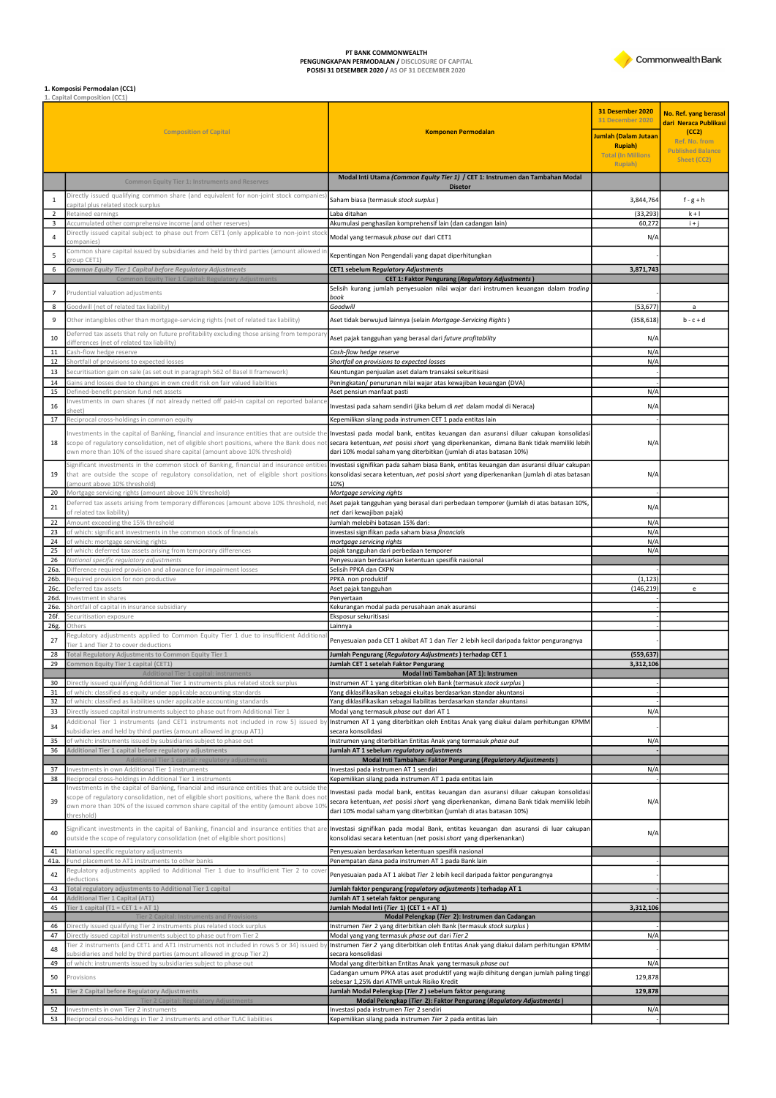PT BANK COMMONWEALTH<br>PENGUNGKAPAN PERMODALAN / DISCLOSURE OF CAPITAL<br>POSISI 31 DESEMBER 2020 / AS OF 31 DECEMBER 2020



## **1. Komposisi Permodalan (CC1)**<br>1. Capital Composition (CC1)

|                 |                                                                                                                                                                                                                                                                                                  |                                                                                                                                                                                                                                                        | 31 Desember 2020<br><b>31 December 2020</b> | No. Ref. yang berasal<br>dari Neraca Publikasi     |
|-----------------|--------------------------------------------------------------------------------------------------------------------------------------------------------------------------------------------------------------------------------------------------------------------------------------------------|--------------------------------------------------------------------------------------------------------------------------------------------------------------------------------------------------------------------------------------------------------|---------------------------------------------|----------------------------------------------------|
|                 | <b>Composition of Capital</b>                                                                                                                                                                                                                                                                    | <b>Komponen Permodalan</b>                                                                                                                                                                                                                             | Jumlah (Dalam Jutaan<br><b>Rupiah</b> )     | (CC2)<br>Ref. No. from<br><b>Published Balance</b> |
|                 |                                                                                                                                                                                                                                                                                                  |                                                                                                                                                                                                                                                        | <b>Total (In Millions</b><br>Rupiah)        | Sheet (CC2)                                        |
|                 | <b>Common Equity Tier 1: Instruments and Reserves</b>                                                                                                                                                                                                                                            | Modal Inti Utama (Common Equity Tier 1) / CET 1: Instrumen dan Tambahan Modal                                                                                                                                                                          |                                             |                                                    |
| 1               | Directly issued qualifying common share (and equivalent for non-joint stock companies                                                                                                                                                                                                            | <b>Disetor</b><br>Saham biasa (termasuk stock surplus)                                                                                                                                                                                                 | 3,844,764                                   | $f-g+h$                                            |
| $\overline{2}$  | capital plus related stock surplus<br>Retained earnings                                                                                                                                                                                                                                          | Laba ditahan                                                                                                                                                                                                                                           | (33, 293)                                   | $k + 1$                                            |
| 3               | Accumulated other comprehensive income (and other reserves)<br>Directly issued capital subject to phase out from CET1 (only applicable to non-joint stoc                                                                                                                                         | Akumulasi penghasilan komprehensif lain (dan cadangan lain)                                                                                                                                                                                            | 60,272                                      | $i + j$                                            |
| $\overline{4}$  | ompanies)                                                                                                                                                                                                                                                                                        | Modal yang termasuk phase out dari CET1                                                                                                                                                                                                                | N/A                                         |                                                    |
| 5               | Common share capital issued by subsidiaries and held by third parties (amount allowed i<br>group CET1)                                                                                                                                                                                           | Kepentingan Non Pengendali yang dapat diperhitungkan                                                                                                                                                                                                   |                                             |                                                    |
| 6               | Common Equity Tier 1 Capital before Regulatory Adjustments<br>Common Equity Tier 1 Capital: Regulatory Adjustments                                                                                                                                                                               | CET1 sebelum Regulatory Adjustments<br><b>CET 1: Faktor Pengurang (Regulatory Adjustments)</b>                                                                                                                                                         | 3,871,743                                   |                                                    |
| $\overline{7}$  | Prudential valuation adjustments                                                                                                                                                                                                                                                                 | Selisih kurang jumlah penyesuaian nilai wajar dari instrumen keuangan dalam trading                                                                                                                                                                    |                                             |                                                    |
| 8               | Goodwill (net of related tax liability)                                                                                                                                                                                                                                                          | book<br>Goodwill                                                                                                                                                                                                                                       | (53, 677)                                   | $\mathsf{a}$                                       |
| 9               | Other intangibles other than mortgage-servicing rights (net of related tax liability)                                                                                                                                                                                                            | Aset tidak berwujud lainnya (selain Mortgage-Servicing Rights)                                                                                                                                                                                         | (358, 618)                                  | $b - c + d$                                        |
| 10              | Deferred tax assets that rely on future profitability excluding those arising from temporar<br>differences (net of related tax liability)                                                                                                                                                        | Aset pajak tangguhan yang berasal dari future profitability                                                                                                                                                                                            | N/A                                         |                                                    |
| 11              | Cash-flow hedge reserve                                                                                                                                                                                                                                                                          | Cash-flow hedge reserve                                                                                                                                                                                                                                | N/A                                         |                                                    |
| 12<br>13        | Shortfall of provisions to expected losses<br>Securitisation gain on sale (as set out in paragraph 562 of Basel II framework)                                                                                                                                                                    | Shortfall on provisions to expected losses<br>Keuntungan penjualan aset dalam transaksi sekuritisasi                                                                                                                                                   | $N/\rho$                                    |                                                    |
| 14              | Gains and losses due to changes in own credit risk on fair valued liabilities                                                                                                                                                                                                                    | Peningkatan/ penurunan nilai wajar atas kewajiban keuangan (DVA)                                                                                                                                                                                       |                                             |                                                    |
| 15              | Defined-benefit pension fund net assets<br>Investments in own shares (if not already netted off paid-in capital on reported balanc                                                                                                                                                               | Aset pensiun manfaat pasti                                                                                                                                                                                                                             | N/A                                         |                                                    |
| 16              | heet)                                                                                                                                                                                                                                                                                            | Investasi pada saham sendiri (jika belum di net dalam modal di Neraca)                                                                                                                                                                                 | N/A                                         |                                                    |
| 17              | Reciprocal cross-holdings in common equity                                                                                                                                                                                                                                                       | Kepemilikan silang pada instrumen CET 1 pada entitas lain                                                                                                                                                                                              |                                             |                                                    |
| 18              | Investments in the capital of Banking, financial and insurance entities that are outside the<br>scope of regulatory consolidation, net of eligible short positions, where the Bank does not<br>own more than 10% of the issued share capital (amount above 10% threshold)                        | Investasi pada modal bank, entitas keuangan dan asuransi diluar cakupan konsolidasi<br>secara ketentuan, net posisi short yang diperkenankan, dimana Bank tidak memiliki lebih<br>dari 10% modal saham yang diterbitkan (jumlah di atas batasan 10%)   | N/A                                         |                                                    |
| 19              | Significant investments in the common stock of Banking, financial and insurance entitie<br>that are outside the scope of regulatory consolidation, net of eligible short positions<br>(amount above 10% threshold)                                                                               | Investasi signifikan pada saham biasa Bank, entitas keuangan dan asuransi diluar cakupan<br>konsolidasi secara ketentuan, net posisi short yang diperkenankan (jumlah di atas batasan<br>10%)                                                          | N/A                                         |                                                    |
| 20              | Mortgage servicing rights (amount above 10% threshold)<br>Deferred tax assets arising from temporary differences (amount above 10% threshold, net                                                                                                                                                | Mortgage servicing rights<br>Aset pajak tangguhan yang berasal dari perbedaan temporer (jumlah di atas batasan 10%,                                                                                                                                    |                                             |                                                    |
| 21              | of related tax liability)                                                                                                                                                                                                                                                                        | net dari kewajiban pajak)                                                                                                                                                                                                                              | N/A                                         |                                                    |
| 22<br>23        | Amount exceeding the 15% threshold<br>of which: significant investments in the common stock of financials                                                                                                                                                                                        | Jumlah melebihi batasan 15% dari:<br>investasi signifikan pada saham biasa financials                                                                                                                                                                  | $N/\rho$<br>N/A                             |                                                    |
| 24<br>25        | of which: mortgage servicing rights                                                                                                                                                                                                                                                              | mortgage servicing rights                                                                                                                                                                                                                              | N/A<br>N/A                                  |                                                    |
| 26              | of which: deferred tax assets arising from temporary differences<br>National specific regulatory adjustments                                                                                                                                                                                     | pajak tangguhan dari perbedaan temporer<br>Penyesuaian berdasarkan ketentuan spesifik nasional                                                                                                                                                         |                                             |                                                    |
| 26a<br>26b.     | Difference required provision and allowance for impairment losses<br>Required provision for non productive                                                                                                                                                                                       | Selisih PPKA dan CKPN<br>PPKA non produktif                                                                                                                                                                                                            | (1, 123)                                    |                                                    |
| 26с.            | Deferred tax assets                                                                                                                                                                                                                                                                              | Aset pajak tangguhan                                                                                                                                                                                                                                   | (146, 219)                                  | e                                                  |
| 26d.<br>26e.    | Investment in shares<br>Shortfall of capital in insurance subsidiary                                                                                                                                                                                                                             | Penyertaan<br>Kekurangan modal pada perusahaan anak asuransi                                                                                                                                                                                           |                                             |                                                    |
| 26f.            | Securitisation exposure                                                                                                                                                                                                                                                                          | Eksposur sekuritisasi                                                                                                                                                                                                                                  |                                             |                                                    |
| 26g.            | Others<br>Regulatory adjustments applied to Common Equity Tier 1 due to insufficient Additiona                                                                                                                                                                                                   | Lainnya                                                                                                                                                                                                                                                |                                             |                                                    |
| 27<br>28        | Tier 1 and Tier 2 to cover deductions                                                                                                                                                                                                                                                            | Penyesuaian pada CET 1 akibat AT 1 dan Tier 2 lebih kecil daripada faktor pengurangnya                                                                                                                                                                 |                                             |                                                    |
| 29              | Total Regulatory Adjustments to Common Equity Tier 1<br>Common Equity Tier 1 capital (CET1)                                                                                                                                                                                                      | Jumlah Pengurang (Regulatory Adjustments) terhadap CET 1<br>Jumlah CET 1 setelah Faktor Pengurang                                                                                                                                                      | (559, 637)<br>3,312,106                     |                                                    |
| 30 <sup>°</sup> | <b>Additional Tier 1 capital: instruments</b><br>Directly issued qualifying Additional Tier 1 instruments plus related stock surplus                                                                                                                                                             | Modal Inti Tambahan (AT 1): Instrumen<br>Instrumen AT 1 yang diterbitkan oleh Bank (termasuk stock surplus)                                                                                                                                            |                                             |                                                    |
| 31              | of which: classified as equity under applicable accounting standards                                                                                                                                                                                                                             | Yang diklasifikasikan sebagai ekuitas berdasarkan standar akuntansi                                                                                                                                                                                    |                                             |                                                    |
| 32<br>33        | of which: classified as liabilities under applicable accounting standards<br>Directly issued capital instruments subject to phase out from Additional Tier 1                                                                                                                                     | Yang diklasifikasikan sebagai liabilitas berdasarkan standar akuntansi<br>Modal yang termasuk phase out dari AT 1                                                                                                                                      | N/A                                         |                                                    |
| 34              | Additional Tier 1 instruments (and CET1 instruments not included in row 5) issued b                                                                                                                                                                                                              | Instrumen AT 1 yang diterbitkan oleh Entitas Anak yang diakui dalam perhitungan KPMM                                                                                                                                                                   |                                             |                                                    |
| 35              | subsidiaries and held by third parties (amount allowed in group AT1)<br>of which: instruments issued by subsidiaries subject to phase out                                                                                                                                                        | secara konsolidasi<br>Instrumen yang diterbitkan Entitas Anak yang termasuk phase out                                                                                                                                                                  | $N/\rho$                                    |                                                    |
| 36              | Additional Tier 1 capital before regulatory adjustments                                                                                                                                                                                                                                          | Jumlah AT 1 sebelum regulatory adjustments                                                                                                                                                                                                             |                                             |                                                    |
| 37              | Additional Tier 1 capital: regulatory adjustments<br>Investments in own Additional Tier 1 instruments                                                                                                                                                                                            | Modal Inti Tambahan: Faktor Pengurang (Regulatory Adjustments)<br>Investasi pada instrumen AT 1 sendiri                                                                                                                                                | $N/\rho$                                    |                                                    |
| 38              | Reciprocal cross-holdings in Additional Tier 1 instruments                                                                                                                                                                                                                                       | Kepemilikan silang pada instrumen AT 1 pada entitas lain                                                                                                                                                                                               |                                             |                                                    |
| 39              | Investments in the capital of Banking, financial and insurance entities that are outside the<br>scope of regulatory consolidation, net of eligible short positions, where the Bank does no<br>own more than 10% of the issued common share capital of the entity (amount above 109<br>threshold) | Investasi pada modal bank, entitas keuangan dan asuransi diluar cakupan konsolidasi<br>secara ketentuan, net posisi short yang diperkenankan, dimana Bank tidak memiliki lebih<br>dari 10% modal saham yang diterbitkan (jumlah di atas batasan 10%)   | N/A                                         |                                                    |
| 40              | outside the scope of regulatory consolidation (net of eligible short positions)                                                                                                                                                                                                                  | Significant investments in the capital of Banking, financial and insurance entities that are Investasi signifikan pada modal Bank, entitas keuangan dan asuransi di luar cakupan<br>konsolidasi secara ketentuan (net posisi short yang diperkenankan) | N/A                                         |                                                    |
| 41<br>41a.      | National specific regulatory adjustments<br>Fund placement to AT1 instruments to other banks                                                                                                                                                                                                     | Penyesuaian berdasarkan ketentuan spesifik nasional<br>Penempatan dana pada instrumen AT 1 pada Bank lain                                                                                                                                              |                                             |                                                    |
| 42              | Regulatory adjustments applied to Additional Tier 1 due to insufficient Tier 2 to cove                                                                                                                                                                                                           | Penyesuaian pada AT 1 akibat Tier 2 lebih kecil daripada faktor pengurangnya                                                                                                                                                                           |                                             |                                                    |
| 43              | deductions<br>Total regulatory adjustments to Additional Tier 1 capital                                                                                                                                                                                                                          | Jumlah faktor pengurang (regulatory adjustments) terhadap AT 1                                                                                                                                                                                         |                                             |                                                    |
| 44<br>45        | Additional Tier 1 Capital (AT1)                                                                                                                                                                                                                                                                  | Jumlah AT 1 setelah faktor pengurang                                                                                                                                                                                                                   |                                             |                                                    |
|                 | Tier 1 capital (T1 = CET $1 + AT1$ )<br>Tier 2 Capital: Instruments and Provision:                                                                                                                                                                                                               | Jumlah Modal Inti (Tier 1) (CET 1 + AT 1)<br>Modal Pelengkap (Tier 2): Instrumen dan Cadangan                                                                                                                                                          | 3,312,106                                   |                                                    |
| 46<br>47        | Directly issued qualifying Tier 2 instruments plus related stock surplus<br>Directly issued capital instruments subject to phase out from Tier 2                                                                                                                                                 | Instrumen Tier 2 yang diterbitkan oleh Bank (termasuk stock surplus)<br>Modal yang yang termasuk phase out dari Tier 2                                                                                                                                 | N/A                                         |                                                    |
| 48              | Tier 2 instruments (and CET1 and AT1 instruments not included in rows 5 or 34) issued by                                                                                                                                                                                                         | Instrumen Tier 2 yang diterbitkan oleh Entitas Anak yang diakui dalam perhitungan KPMM                                                                                                                                                                 |                                             |                                                    |
| 49              | ubsidiaries and held by third parties (amount allowed in group Tier 2)<br>of which: instruments issued by subsidiaries subject to phase out                                                                                                                                                      | secara konsolidasi<br>Modal yang diterbitkan Entitas Anak yang termasuk phase out                                                                                                                                                                      | $N/\rho$                                    |                                                    |
| 50              | Provisions                                                                                                                                                                                                                                                                                       | Cadangan umum PPKA atas aset produktif yang wajib dihitung dengan jumlah paling tinggi<br>sebesar 1,25% dari ATMR untuk Risiko Kredit                                                                                                                  | 129,878                                     |                                                    |
| 51              | Tier 2 Capital before Regulatory Adjustments                                                                                                                                                                                                                                                     | Jumlah Modal Pelengkap (Tier 2) sebelum faktor pengurang                                                                                                                                                                                               | 129,878                                     |                                                    |
| 52              | <b>Tier 2 Capital: Regulatory Adjustment</b><br>Investments in own Tier 2 instruments                                                                                                                                                                                                            | Modal Pelengkap (Tier 2): Faktor Pengurang (Regulatory Adjustments)<br>Investasi pada instrumen Tier 2 sendiri                                                                                                                                         | N/A                                         |                                                    |
| 53              | Reciprocal cross-holdings in Tier 2 instruments and other TLAC liabilities                                                                                                                                                                                                                       | Kepemilikan silang pada instrumen Tier 2 pada entitas lain                                                                                                                                                                                             |                                             |                                                    |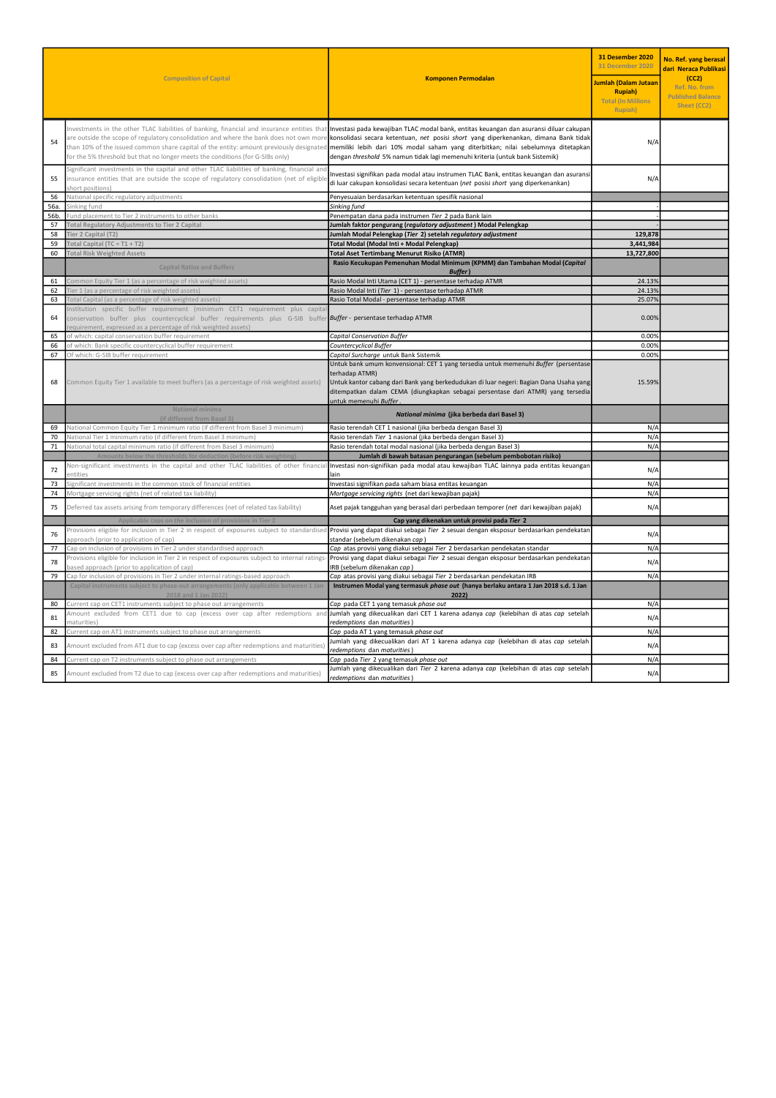| <b>Composition of Capital</b> |                                                                                                                                                                                                                                                                                                                                                                    | <b>Komponen Permodalan</b>                                                                                                                                                                                                                                                                                                                          | <b>31 Desember 2020</b><br>31 December 2020<br>Jumlah (Dalam Jutaan<br><b>Rupiah</b> )<br><b>Total (In Millions</b><br>Rupiah) | No. Ref. yang berasal<br>dari Neraca Publikasi<br>(CC2)<br>Ref. No. from<br><b>Published Balance</b><br>Sheet (CC2) |
|-------------------------------|--------------------------------------------------------------------------------------------------------------------------------------------------------------------------------------------------------------------------------------------------------------------------------------------------------------------------------------------------------------------|-----------------------------------------------------------------------------------------------------------------------------------------------------------------------------------------------------------------------------------------------------------------------------------------------------------------------------------------------------|--------------------------------------------------------------------------------------------------------------------------------|---------------------------------------------------------------------------------------------------------------------|
| 54                            | Investments in the other TLAC liabilities of banking, financial and insurance entities that<br>are outside the scope of regulatory consolidation and where the bank does not own more<br>than 10% of the issued common share capital of the entity: amount previously designated<br>for the 5% threshold but that no longer meets the conditions (for G-SIBs only) | Investasi pada kewajiban TLAC modal bank, entitas keuangan dan asuransi diluar cakupan<br>konsolidasi secara ketentuan, net posisi short yang diperkenankan, dimana Bank tidak<br>memiliki lebih dari 10% modal saham yang diterbitkan; nilai sebelumnya ditetapkan<br>dengan threshold 5% namun tidak lagi memenuhi kriteria (untuk bank Sistemik) | N/A                                                                                                                            |                                                                                                                     |
| 55                            | Significant investments in the capital and other TLAC liabilities of banking, financial and<br>insurance entities that are outside the scope of regulatory consolidation (net of eligible<br>hort positions)                                                                                                                                                       | Investasi signifikan pada modal atau instrumen TLAC Bank, entitas keuangan dan asuransi<br>di luar cakupan konsolidasi secara ketentuan (net posisi short yang diperkenankan)                                                                                                                                                                       | N/A                                                                                                                            |                                                                                                                     |
| 56                            | National specific regulatory adjustments                                                                                                                                                                                                                                                                                                                           | Penyesuaian berdasarkan ketentuan spesifik nasional                                                                                                                                                                                                                                                                                                 |                                                                                                                                |                                                                                                                     |
| 56a.                          | Sinking fund                                                                                                                                                                                                                                                                                                                                                       | Sinking fund                                                                                                                                                                                                                                                                                                                                        |                                                                                                                                |                                                                                                                     |
| 56b.<br>57                    | Fund placement to Tier 2 instruments to other banks<br>Total Regulatory Adjustments to Tier 2 Capital                                                                                                                                                                                                                                                              | Penempatan dana pada instrumen Tier 2 pada Bank lain                                                                                                                                                                                                                                                                                                |                                                                                                                                |                                                                                                                     |
| 58                            |                                                                                                                                                                                                                                                                                                                                                                    | lumlah faktor pengurang (regulatory adjustment) Modal Pelengkap                                                                                                                                                                                                                                                                                     |                                                                                                                                |                                                                                                                     |
| 59                            | Tier 2 Capital (T2)<br>Total Capital $(TC = T1 + T2)$                                                                                                                                                                                                                                                                                                              | Jumlah Modal Pelengkap (Tier 2) setelah regulatory adjustment                                                                                                                                                                                                                                                                                       | 129,878<br>3,441,984                                                                                                           |                                                                                                                     |
| 60                            | <b>Total Risk Weighted Assets</b>                                                                                                                                                                                                                                                                                                                                  | Total Modal (Modal Inti + Modal Pelengkap)<br><b>Total Aset Tertimbang Menurut Risiko (ATMR)</b>                                                                                                                                                                                                                                                    | 13,727,800                                                                                                                     |                                                                                                                     |
|                               |                                                                                                                                                                                                                                                                                                                                                                    | Rasio Kecukupan Pemenuhan Modal Minimum (KPMM) dan Tambahan Modal (Capital                                                                                                                                                                                                                                                                          |                                                                                                                                |                                                                                                                     |
|                               | <b>Capital Ratios and Buffers</b>                                                                                                                                                                                                                                                                                                                                  | <b>Buffer</b> )                                                                                                                                                                                                                                                                                                                                     |                                                                                                                                |                                                                                                                     |
| 61                            | Common Equity Tier 1 (as a percentage of risk weighted assets)                                                                                                                                                                                                                                                                                                     | Rasio Modal Inti Utama (CET 1) - persentase terhadap ATMR                                                                                                                                                                                                                                                                                           | 24.13%                                                                                                                         |                                                                                                                     |
| 62                            | Tier 1 (as a percentage of risk weighted assets)                                                                                                                                                                                                                                                                                                                   | Rasio Modal Inti (Tier 1) - persentase terhadap ATMR                                                                                                                                                                                                                                                                                                | 24.13%                                                                                                                         |                                                                                                                     |
| 63                            | Total Capital (as a percentage of risk weighted assets)                                                                                                                                                                                                                                                                                                            | Rasio Total Modal - persentase terhadap ATMR                                                                                                                                                                                                                                                                                                        | 25.07%                                                                                                                         |                                                                                                                     |
|                               | Institution specific buffer requirement (minimum CET1 requirement plus capita                                                                                                                                                                                                                                                                                      |                                                                                                                                                                                                                                                                                                                                                     |                                                                                                                                |                                                                                                                     |
| 64                            | conservation buffer plus countercyclical buffer requirements plus G-SIB buffer <b> <i>Buffer</i>-persentaseterhadapATMR</b><br>equirement, expressed as a percentage of risk weighted assets)                                                                                                                                                                      |                                                                                                                                                                                                                                                                                                                                                     | 0.00%                                                                                                                          |                                                                                                                     |
| 65                            | of which: capital conservation buffer requirement                                                                                                                                                                                                                                                                                                                  | <b>Capital Conservation Buffer</b>                                                                                                                                                                                                                                                                                                                  | 0.00%                                                                                                                          |                                                                                                                     |
| 66                            | of which: Bank specific countercyclical buffer requirement                                                                                                                                                                                                                                                                                                         | Countercyclical Buffer                                                                                                                                                                                                                                                                                                                              | 0.00%                                                                                                                          |                                                                                                                     |
| 67                            | Of which: G-SIB buffer requirement                                                                                                                                                                                                                                                                                                                                 | Capital Surcharge untuk Bank Sistemik                                                                                                                                                                                                                                                                                                               | 0.00%                                                                                                                          |                                                                                                                     |
| 68                            | Common Equity Tier 1 available to meet buffers (as a percentage of risk weighted assets)                                                                                                                                                                                                                                                                           | Untuk bank umum konvensional: CET 1 yang tersedia untuk memenuhi Buffer (persentase<br>terhadap ATMR)<br>Untuk kantor cabang dari Bank yang berkedudukan di luar negeri: Bagian Dana Usaha yang<br>ditempatkan dalam CEMA (diungkapkan sebagai persentase dari ATMR) yang tersedia<br>untuk memenuhi Buffer.                                        | 15.59%                                                                                                                         |                                                                                                                     |
|                               | National minima<br>(if different from Basel 3)                                                                                                                                                                                                                                                                                                                     | National minima (jika berbeda dari Basel 3)                                                                                                                                                                                                                                                                                                         |                                                                                                                                |                                                                                                                     |
| 69                            | National Common Equity Tier 1 minimum ratio (if different from Basel 3 minimum)                                                                                                                                                                                                                                                                                    | Rasio terendah CET 1 nasional (jika berbeda dengan Basel 3)                                                                                                                                                                                                                                                                                         | N/A                                                                                                                            |                                                                                                                     |
| 70                            | National Tier 1 minimum ratio (if different from Basel 3 minimum)                                                                                                                                                                                                                                                                                                  | Rasio terendah Tier 1 nasional (jika berbeda dengan Basel 3)                                                                                                                                                                                                                                                                                        | N/A                                                                                                                            |                                                                                                                     |
| 71                            | National total capital minimum ratio (if different from Basel 3 minimum)                                                                                                                                                                                                                                                                                           | Rasio terendah total modal nasional (jika berbeda dengan Basel 3)                                                                                                                                                                                                                                                                                   | N/A                                                                                                                            |                                                                                                                     |
|                               | Amounts below the thresholds for deduction (before risk weighting                                                                                                                                                                                                                                                                                                  | Jumlah di bawah batasan pengurangan (sebelum pembobotan risiko)                                                                                                                                                                                                                                                                                     |                                                                                                                                |                                                                                                                     |
| 72                            | Non-significant investments in the capital and other TLAC liabilities of other financial<br>entities                                                                                                                                                                                                                                                               | Investasi non-signifikan pada modal atau kewajiban TLAC lainnya pada entitas keuangan<br>lain                                                                                                                                                                                                                                                       | N/A                                                                                                                            |                                                                                                                     |
| 73                            | ignificant investments in the common stock of financial entities                                                                                                                                                                                                                                                                                                   | Investasi signifikan pada saham biasa entitas keuangan                                                                                                                                                                                                                                                                                              | N/A                                                                                                                            |                                                                                                                     |
| 74                            | Mortgage servicing rights (net of related tax liability)                                                                                                                                                                                                                                                                                                           | Mortgage servicing rights (net dari kewajiban pajak)                                                                                                                                                                                                                                                                                                | N/A                                                                                                                            |                                                                                                                     |
| 75                            | Deferred tax assets arising from temporary differences (net of related tax liability)<br>Aset pajak tangguhan yang berasal dari perbedaan temporer (net dari kewajiban pajak)                                                                                                                                                                                      |                                                                                                                                                                                                                                                                                                                                                     | N/A                                                                                                                            |                                                                                                                     |
|                               | Applicable caps on the inclusion of provisions in Tier 2                                                                                                                                                                                                                                                                                                           | Cap yang dikenakan untuk provisi pada Tier 2                                                                                                                                                                                                                                                                                                        |                                                                                                                                |                                                                                                                     |
| 76                            | Provisions eligible for inclusion in Tier 2 in respect of exposures subject to standardised<br>oproach (prior to application of cap)                                                                                                                                                                                                                               | Provisi yang dapat diakui sebagai Tier 2 sesuai dengan eksposur berdasarkan pendekatan<br>standar (sebelum dikenakan cap)                                                                                                                                                                                                                           | N/A                                                                                                                            |                                                                                                                     |
| 77                            | Cap on inclusion of provisions in Tier 2 under standardised approach                                                                                                                                                                                                                                                                                               | Cap atas provisi yang diakui sebagai Tier 2 berdasarkan pendekatan standar                                                                                                                                                                                                                                                                          | N/A                                                                                                                            |                                                                                                                     |
| 78                            | Provisions eligible for inclusion in Tier 2 in respect of exposures subject to internal ratings-<br>based approach (prior to application of cap)                                                                                                                                                                                                                   | Provisi yang dapat diakui sebagai Tier 2 sesuai dengan eksposur berdasarkan pendekatan<br>RB (sebelum dikenakan cap)                                                                                                                                                                                                                                | N/A                                                                                                                            |                                                                                                                     |
| 79                            | Cap for inclusion of provisions in Tier 2 under internal ratings-based approach                                                                                                                                                                                                                                                                                    | Cap atas provisi yang diakui sebagai Tier 2 berdasarkan pendekatan IRB                                                                                                                                                                                                                                                                              | N/A                                                                                                                            |                                                                                                                     |
|                               | Capital instruments subject to phase-out arrangements (only applicable between 1 Jan<br>2018 and 1 Jan 2022)                                                                                                                                                                                                                                                       | Instrumen Modal yang termasuk phase out (hanya berlaku antara 1 Jan 2018 s.d. 1 Jan<br>2022)                                                                                                                                                                                                                                                        |                                                                                                                                |                                                                                                                     |
| 80                            | Current cap on CET1 instruments subject to phase out arrangements                                                                                                                                                                                                                                                                                                  | Cap pada CET 1 yang temasuk phase out                                                                                                                                                                                                                                                                                                               | N/A                                                                                                                            |                                                                                                                     |
| 81                            | Amount excluded from CET1 due to cap (excess over cap after redemptions and<br>maturities <sup>1</sup>                                                                                                                                                                                                                                                             | Jumlah yang dikecualikan dari CET 1 karena adanya cap (kelebihan di atas cap setelah<br>redemptions dan maturities)                                                                                                                                                                                                                                 | N/A                                                                                                                            |                                                                                                                     |
| 82                            | Current cap on AT1 instruments subject to phase out arrangements                                                                                                                                                                                                                                                                                                   | Cap pada AT 1 yang temasuk phase out                                                                                                                                                                                                                                                                                                                | N/A                                                                                                                            |                                                                                                                     |
| 83                            | Amount excluded from AT1 due to cap (excess over cap after redemptions and maturities)                                                                                                                                                                                                                                                                             | Jumlah yang dikecualikan dari AT 1 karena adanya cap (kelebihan di atas cap setelah<br>redemptions dan maturities)                                                                                                                                                                                                                                  | N/A                                                                                                                            |                                                                                                                     |
| 84                            | Current cap on T2 instruments subject to phase out arrangements                                                                                                                                                                                                                                                                                                    | Cap pada Tier 2 yang temasuk phase out                                                                                                                                                                                                                                                                                                              | N/A                                                                                                                            |                                                                                                                     |
| 85                            | Amount excluded from T2 due to cap (excess over cap after redemptions and maturities)                                                                                                                                                                                                                                                                              | Jumlah yang dikecualikan dari Tier 2 karena adanya cap (kelebihan di atas cap setelah<br>redemptions dan maturities)                                                                                                                                                                                                                                | N/A                                                                                                                            |                                                                                                                     |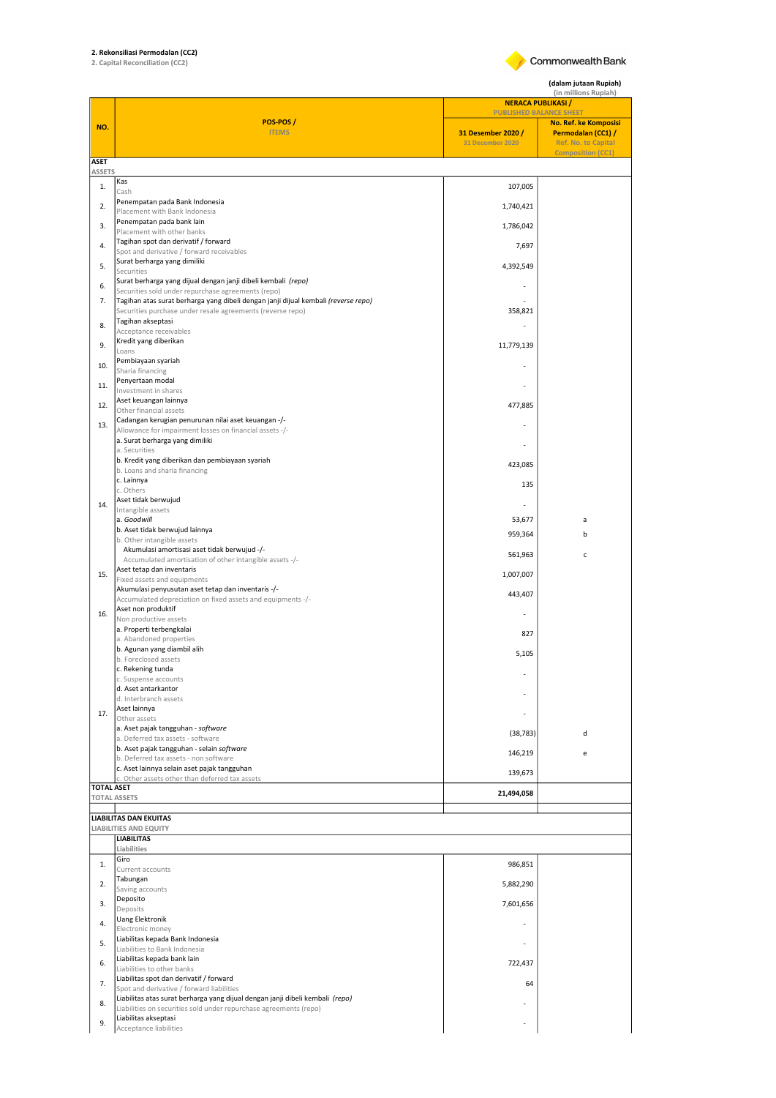## 2. Rekonsiliasi Permodalan (CC2) 2. Capital Reconciliation (CC2)



(dalam jutaan Rupiah)

|                   |                                                                                                                                          | (in millions Rupiah)<br><b>NERACA PUBLIKASI /</b>                        |                                                                           |  |
|-------------------|------------------------------------------------------------------------------------------------------------------------------------------|--------------------------------------------------------------------------|---------------------------------------------------------------------------|--|
| NO.               | POS-POS/<br><b>ITEMS</b>                                                                                                                 | <b>PUBLISHED BALANCE SHEET</b><br>31 Desember 2020 /<br>31 December 2020 | No. Ref. ke Komposisi<br>Permodalan (CC1) /<br><b>Ref. No. to Capital</b> |  |
| <b>ASET</b>       |                                                                                                                                          |                                                                          | <b>Composition (CC1)</b>                                                  |  |
| <b>ASSETS</b>     | Kas                                                                                                                                      |                                                                          |                                                                           |  |
| 1.                | Cash                                                                                                                                     | 107,005                                                                  |                                                                           |  |
| 2.                | Penempatan pada Bank Indonesia<br>Placement with Bank Indonesia                                                                          | 1,740,421                                                                |                                                                           |  |
| 3.                | Penempatan pada bank lain<br>Placement with other banks                                                                                  | 1,786,042                                                                |                                                                           |  |
| 4.                | Tagihan spot dan derivatif / forward<br>Spot and derivative / forward receivables                                                        | 7,697                                                                    |                                                                           |  |
| 5.                | Surat berharga yang dimiliki                                                                                                             | 4,392,549                                                                |                                                                           |  |
|                   | Securities<br>Surat berharga yang dijual dengan janji dibeli kembali (repo)                                                              |                                                                          |                                                                           |  |
| 6.<br>7.          | Securities sold under repurchase agreements (repo)<br>Tagihan atas surat berharga yang dibeli dengan janji dijual kembali (reverse repo) |                                                                          |                                                                           |  |
|                   | Securities purchase under resale agreements (reverse repo)                                                                               | 358,821                                                                  |                                                                           |  |
| 8.                | Tagihan akseptasi<br>Acceptance receivables                                                                                              |                                                                          |                                                                           |  |
| 9.                | Kredit yang diberikan<br>Loans                                                                                                           | 11,779,139                                                               |                                                                           |  |
| 10.               | Pembiayaan syariah                                                                                                                       |                                                                          |                                                                           |  |
| 11.               | Sharia financing<br>Penyertaan modal                                                                                                     |                                                                          |                                                                           |  |
|                   | Investment in shares<br>Aset keuangan lainnya                                                                                            |                                                                          |                                                                           |  |
| 12.               | Other financial assets                                                                                                                   | 477,885                                                                  |                                                                           |  |
| 13.               | Cadangan kerugian penurunan nilai aset keuangan -/-<br>Allowance for impairment losses on financial assets -/-                           |                                                                          |                                                                           |  |
|                   | a. Surat berharga yang dimiliki<br>a. Securities                                                                                         |                                                                          |                                                                           |  |
|                   | b. Kredit yang diberikan dan pembiayaan syariah                                                                                          | 423,085                                                                  |                                                                           |  |
|                   | b. Loans and sharia financing<br>c. Lainnya                                                                                              | 135                                                                      |                                                                           |  |
|                   | c. Others<br>Aset tidak berwujud                                                                                                         |                                                                          |                                                                           |  |
| 14.               | Intangible assets                                                                                                                        |                                                                          |                                                                           |  |
|                   | a. Goodwill<br>b. Aset tidak berwujud lainnya                                                                                            | 53,677<br>959,364                                                        | a<br>b                                                                    |  |
|                   | b. Other intangible assets<br>Akumulasi amortisasi aset tidak berwujud -/-                                                               |                                                                          |                                                                           |  |
|                   | Accumulated amortisation of other intangible assets -/-                                                                                  | 561,963                                                                  | $\mathsf c$                                                               |  |
| 15.               | Aset tetap dan inventaris<br>Fixed assets and equipments                                                                                 | 1,007,007                                                                |                                                                           |  |
|                   | Akumulasi penyusutan aset tetap dan inventaris -/-<br>Accumulated depreciation on fixed assets and equipments -/-                        | 443,407                                                                  |                                                                           |  |
| 16.               | Aset non produktif                                                                                                                       |                                                                          |                                                                           |  |
|                   | Non productive assets<br>a. Properti terbengkalai                                                                                        | 827                                                                      |                                                                           |  |
|                   | a. Abandoned properties<br>b. Agunan yang diambil alih                                                                                   |                                                                          |                                                                           |  |
|                   | b. Foreclosed assets                                                                                                                     | 5,105                                                                    |                                                                           |  |
|                   | c. Rekening tunda<br>c. Suspense accounts                                                                                                |                                                                          |                                                                           |  |
|                   | d. Aset antarkantor<br>d. Interbranch assets                                                                                             |                                                                          |                                                                           |  |
| 17.               | Aset lainnya<br>Other assets                                                                                                             |                                                                          |                                                                           |  |
|                   | a. Aset pajak tangguhan - software                                                                                                       | (38, 783)                                                                | d                                                                         |  |
|                   | a. Deferred tax assets - software<br>b. Aset pajak tangguhan - selain software                                                           |                                                                          |                                                                           |  |
|                   | b. Deferred tax assets - non software<br>c. Aset lainnya selain aset pajak tangguhan                                                     | 146,219                                                                  | e                                                                         |  |
|                   | c. Other assets other than deferred tax assets                                                                                           | 139,673                                                                  |                                                                           |  |
| <b>TOTAL ASET</b> | <b>TOTAL ASSETS</b>                                                                                                                      | 21,494,058                                                               |                                                                           |  |
|                   | <b>LIABILITAS DAN EKUITAS</b>                                                                                                            |                                                                          |                                                                           |  |
|                   | <b>LIABILITIES AND EQUITY</b>                                                                                                            |                                                                          |                                                                           |  |
|                   | <b>LIABILITAS</b><br>Liabilities                                                                                                         |                                                                          |                                                                           |  |
| 1.                | Giro<br>Current accounts                                                                                                                 | 986,851                                                                  |                                                                           |  |
| 2.                | Tabungan                                                                                                                                 | 5,882,290                                                                |                                                                           |  |
|                   | Saving accounts<br>Deposito                                                                                                              |                                                                          |                                                                           |  |
| 3.                | Deposits                                                                                                                                 | 7,601,656                                                                |                                                                           |  |
| 4.                | <b>Uang Elektronik</b><br>Electronic money                                                                                               |                                                                          |                                                                           |  |
| 5.                | Liabilitas kepada Bank Indonesia<br>Liabilities to Bank Indonesia                                                                        |                                                                          |                                                                           |  |
| 6.                | Liabilitas kepada bank lain                                                                                                              | 722,437                                                                  |                                                                           |  |
| 7.                | Liabilities to other banks<br>Liabilitas spot dan derivatif / forward                                                                    | 64                                                                       |                                                                           |  |
|                   | Spot and derivative / forward liabilities<br>Liabilitas atas surat berharga yang dijual dengan janji dibeli kembali (repo)               |                                                                          |                                                                           |  |
| 8.                | Liabilities on securities sold under repurchase agreements (repo)                                                                        |                                                                          |                                                                           |  |
| 9.                | Liabilitas akseptasi<br>Acceptance liabilities                                                                                           |                                                                          |                                                                           |  |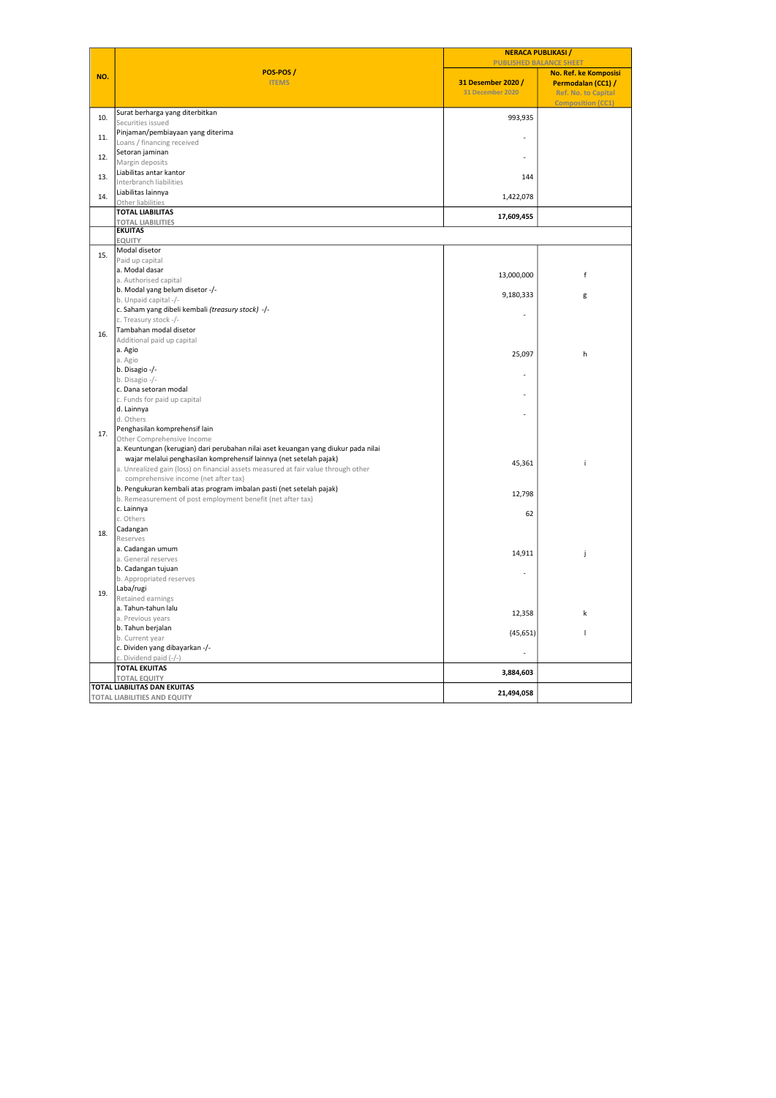| POS-POS/<br>No. Ref. ke Komposisi<br>NO.<br><b>ITEMS</b><br>31 Desember 2020 /<br>Permodalan (CC1) /<br><b>31 December 2020</b><br><b>Ref. No. to Capital</b><br><b>Composition (CC1)</b><br>Surat berharga yang diterbitkan<br>10.<br>993,935<br>Securities issued<br>Pinjaman/pembiayaan yang diterima<br>11.<br>Loans / financing received<br>Setoran jaminan<br>12.<br>Margin deposits<br>Liabilitas antar kantor<br>13.<br>144<br>Interbranch liabilities<br>Liabilitas lainnya<br>14.<br>1,422,078<br>Other liabilities<br><b>TOTAL LIABILITAS</b><br>17,609,455<br><b>TOTAL LIABILITIES</b><br><b>EKUITAS</b><br><b>EQUITY</b><br>Modal disetor<br>15.<br>Paid up capital<br>a. Modal dasar<br>13,000,000<br>f<br>a. Authorised capital<br>b. Modal yang belum disetor -/-<br>9,180,333<br>g<br>b. Unpaid capital -/-<br>c. Saham yang dibeli kembali (treasury stock) -/-<br>c. Treasury stock -/-<br>Tambahan modal disetor<br>16.<br>Additional paid up capital<br>a. Agio<br>25,097<br>h<br>a. Agio<br>b. Disagio -/-<br>b. Disagio -/-<br>c. Dana setoran modal<br>c. Funds for paid up capital<br>d. Lainnya<br>d. Others<br>Penghasilan komprehensif lain<br>17.<br>Other Comprehensive Income<br>a. Keuntungan (kerugian) dari perubahan nilai aset keuangan yang diukur pada nilai<br>wajar melalui penghasilan komprehensif lainnya (net setelah pajak)<br>45,361<br>j.<br>a. Unrealized gain (loss) on financial assets measured at fair value through other<br>comprehensive income (net after tax)<br>b. Pengukuran kembali atas program imbalan pasti (net setelah pajak)<br>12,798<br>b. Remeasurement of post employment benefit (net after tax)<br>c. Lainnya<br>62<br>c. Others<br>Cadangan<br>18.<br>Reserves<br>a. Cadangan umum<br>14,911<br>j<br>a. General reserves<br>b. Cadangan tujuan<br>b. Appropriated reserves<br>Laba/rugi<br>19.<br>Retained earnings<br>a. Tahun-tahun lalu<br>12,358<br>k<br>a. Previous years<br>b. Tahun berjalan<br>(45, 651)<br>т<br>b. Current year<br>c. Dividen yang dibayarkan -/-<br>c. Dividend paid (-/-)<br><b>TOTAL EKUITAS</b><br>3,884,603<br><b>TOTAL EQUITY</b><br><b>TOTAL LIABILITAS DAN EKUITAS</b><br>21,494,058<br><b>TOTAL LIABILITIES AND EQUITY</b> |  | <b>NERACA PUBLIKASI</b><br><b>PUBLISHED BALANCE SHEET</b> |  |  |
|---------------------------------------------------------------------------------------------------------------------------------------------------------------------------------------------------------------------------------------------------------------------------------------------------------------------------------------------------------------------------------------------------------------------------------------------------------------------------------------------------------------------------------------------------------------------------------------------------------------------------------------------------------------------------------------------------------------------------------------------------------------------------------------------------------------------------------------------------------------------------------------------------------------------------------------------------------------------------------------------------------------------------------------------------------------------------------------------------------------------------------------------------------------------------------------------------------------------------------------------------------------------------------------------------------------------------------------------------------------------------------------------------------------------------------------------------------------------------------------------------------------------------------------------------------------------------------------------------------------------------------------------------------------------------------------------------------------------------------------------------------------------------------------------------------------------------------------------------------------------------------------------------------------------------------------------------------------------------------------------------------------------------------------------------------------------------------------------------------------------------------------------------------------------------------------------------------------------------------------|--|-----------------------------------------------------------|--|--|
|                                                                                                                                                                                                                                                                                                                                                                                                                                                                                                                                                                                                                                                                                                                                                                                                                                                                                                                                                                                                                                                                                                                                                                                                                                                                                                                                                                                                                                                                                                                                                                                                                                                                                                                                                                                                                                                                                                                                                                                                                                                                                                                                                                                                                                       |  |                                                           |  |  |
|                                                                                                                                                                                                                                                                                                                                                                                                                                                                                                                                                                                                                                                                                                                                                                                                                                                                                                                                                                                                                                                                                                                                                                                                                                                                                                                                                                                                                                                                                                                                                                                                                                                                                                                                                                                                                                                                                                                                                                                                                                                                                                                                                                                                                                       |  |                                                           |  |  |
|                                                                                                                                                                                                                                                                                                                                                                                                                                                                                                                                                                                                                                                                                                                                                                                                                                                                                                                                                                                                                                                                                                                                                                                                                                                                                                                                                                                                                                                                                                                                                                                                                                                                                                                                                                                                                                                                                                                                                                                                                                                                                                                                                                                                                                       |  |                                                           |  |  |
|                                                                                                                                                                                                                                                                                                                                                                                                                                                                                                                                                                                                                                                                                                                                                                                                                                                                                                                                                                                                                                                                                                                                                                                                                                                                                                                                                                                                                                                                                                                                                                                                                                                                                                                                                                                                                                                                                                                                                                                                                                                                                                                                                                                                                                       |  |                                                           |  |  |
|                                                                                                                                                                                                                                                                                                                                                                                                                                                                                                                                                                                                                                                                                                                                                                                                                                                                                                                                                                                                                                                                                                                                                                                                                                                                                                                                                                                                                                                                                                                                                                                                                                                                                                                                                                                                                                                                                                                                                                                                                                                                                                                                                                                                                                       |  |                                                           |  |  |
|                                                                                                                                                                                                                                                                                                                                                                                                                                                                                                                                                                                                                                                                                                                                                                                                                                                                                                                                                                                                                                                                                                                                                                                                                                                                                                                                                                                                                                                                                                                                                                                                                                                                                                                                                                                                                                                                                                                                                                                                                                                                                                                                                                                                                                       |  |                                                           |  |  |
|                                                                                                                                                                                                                                                                                                                                                                                                                                                                                                                                                                                                                                                                                                                                                                                                                                                                                                                                                                                                                                                                                                                                                                                                                                                                                                                                                                                                                                                                                                                                                                                                                                                                                                                                                                                                                                                                                                                                                                                                                                                                                                                                                                                                                                       |  |                                                           |  |  |
|                                                                                                                                                                                                                                                                                                                                                                                                                                                                                                                                                                                                                                                                                                                                                                                                                                                                                                                                                                                                                                                                                                                                                                                                                                                                                                                                                                                                                                                                                                                                                                                                                                                                                                                                                                                                                                                                                                                                                                                                                                                                                                                                                                                                                                       |  |                                                           |  |  |
|                                                                                                                                                                                                                                                                                                                                                                                                                                                                                                                                                                                                                                                                                                                                                                                                                                                                                                                                                                                                                                                                                                                                                                                                                                                                                                                                                                                                                                                                                                                                                                                                                                                                                                                                                                                                                                                                                                                                                                                                                                                                                                                                                                                                                                       |  |                                                           |  |  |
|                                                                                                                                                                                                                                                                                                                                                                                                                                                                                                                                                                                                                                                                                                                                                                                                                                                                                                                                                                                                                                                                                                                                                                                                                                                                                                                                                                                                                                                                                                                                                                                                                                                                                                                                                                                                                                                                                                                                                                                                                                                                                                                                                                                                                                       |  |                                                           |  |  |
|                                                                                                                                                                                                                                                                                                                                                                                                                                                                                                                                                                                                                                                                                                                                                                                                                                                                                                                                                                                                                                                                                                                                                                                                                                                                                                                                                                                                                                                                                                                                                                                                                                                                                                                                                                                                                                                                                                                                                                                                                                                                                                                                                                                                                                       |  |                                                           |  |  |
|                                                                                                                                                                                                                                                                                                                                                                                                                                                                                                                                                                                                                                                                                                                                                                                                                                                                                                                                                                                                                                                                                                                                                                                                                                                                                                                                                                                                                                                                                                                                                                                                                                                                                                                                                                                                                                                                                                                                                                                                                                                                                                                                                                                                                                       |  |                                                           |  |  |
|                                                                                                                                                                                                                                                                                                                                                                                                                                                                                                                                                                                                                                                                                                                                                                                                                                                                                                                                                                                                                                                                                                                                                                                                                                                                                                                                                                                                                                                                                                                                                                                                                                                                                                                                                                                                                                                                                                                                                                                                                                                                                                                                                                                                                                       |  |                                                           |  |  |
|                                                                                                                                                                                                                                                                                                                                                                                                                                                                                                                                                                                                                                                                                                                                                                                                                                                                                                                                                                                                                                                                                                                                                                                                                                                                                                                                                                                                                                                                                                                                                                                                                                                                                                                                                                                                                                                                                                                                                                                                                                                                                                                                                                                                                                       |  |                                                           |  |  |
|                                                                                                                                                                                                                                                                                                                                                                                                                                                                                                                                                                                                                                                                                                                                                                                                                                                                                                                                                                                                                                                                                                                                                                                                                                                                                                                                                                                                                                                                                                                                                                                                                                                                                                                                                                                                                                                                                                                                                                                                                                                                                                                                                                                                                                       |  |                                                           |  |  |
|                                                                                                                                                                                                                                                                                                                                                                                                                                                                                                                                                                                                                                                                                                                                                                                                                                                                                                                                                                                                                                                                                                                                                                                                                                                                                                                                                                                                                                                                                                                                                                                                                                                                                                                                                                                                                                                                                                                                                                                                                                                                                                                                                                                                                                       |  |                                                           |  |  |
|                                                                                                                                                                                                                                                                                                                                                                                                                                                                                                                                                                                                                                                                                                                                                                                                                                                                                                                                                                                                                                                                                                                                                                                                                                                                                                                                                                                                                                                                                                                                                                                                                                                                                                                                                                                                                                                                                                                                                                                                                                                                                                                                                                                                                                       |  |                                                           |  |  |
|                                                                                                                                                                                                                                                                                                                                                                                                                                                                                                                                                                                                                                                                                                                                                                                                                                                                                                                                                                                                                                                                                                                                                                                                                                                                                                                                                                                                                                                                                                                                                                                                                                                                                                                                                                                                                                                                                                                                                                                                                                                                                                                                                                                                                                       |  |                                                           |  |  |
|                                                                                                                                                                                                                                                                                                                                                                                                                                                                                                                                                                                                                                                                                                                                                                                                                                                                                                                                                                                                                                                                                                                                                                                                                                                                                                                                                                                                                                                                                                                                                                                                                                                                                                                                                                                                                                                                                                                                                                                                                                                                                                                                                                                                                                       |  |                                                           |  |  |
|                                                                                                                                                                                                                                                                                                                                                                                                                                                                                                                                                                                                                                                                                                                                                                                                                                                                                                                                                                                                                                                                                                                                                                                                                                                                                                                                                                                                                                                                                                                                                                                                                                                                                                                                                                                                                                                                                                                                                                                                                                                                                                                                                                                                                                       |  |                                                           |  |  |
|                                                                                                                                                                                                                                                                                                                                                                                                                                                                                                                                                                                                                                                                                                                                                                                                                                                                                                                                                                                                                                                                                                                                                                                                                                                                                                                                                                                                                                                                                                                                                                                                                                                                                                                                                                                                                                                                                                                                                                                                                                                                                                                                                                                                                                       |  |                                                           |  |  |
|                                                                                                                                                                                                                                                                                                                                                                                                                                                                                                                                                                                                                                                                                                                                                                                                                                                                                                                                                                                                                                                                                                                                                                                                                                                                                                                                                                                                                                                                                                                                                                                                                                                                                                                                                                                                                                                                                                                                                                                                                                                                                                                                                                                                                                       |  |                                                           |  |  |
|                                                                                                                                                                                                                                                                                                                                                                                                                                                                                                                                                                                                                                                                                                                                                                                                                                                                                                                                                                                                                                                                                                                                                                                                                                                                                                                                                                                                                                                                                                                                                                                                                                                                                                                                                                                                                                                                                                                                                                                                                                                                                                                                                                                                                                       |  |                                                           |  |  |
|                                                                                                                                                                                                                                                                                                                                                                                                                                                                                                                                                                                                                                                                                                                                                                                                                                                                                                                                                                                                                                                                                                                                                                                                                                                                                                                                                                                                                                                                                                                                                                                                                                                                                                                                                                                                                                                                                                                                                                                                                                                                                                                                                                                                                                       |  |                                                           |  |  |
|                                                                                                                                                                                                                                                                                                                                                                                                                                                                                                                                                                                                                                                                                                                                                                                                                                                                                                                                                                                                                                                                                                                                                                                                                                                                                                                                                                                                                                                                                                                                                                                                                                                                                                                                                                                                                                                                                                                                                                                                                                                                                                                                                                                                                                       |  |                                                           |  |  |
|                                                                                                                                                                                                                                                                                                                                                                                                                                                                                                                                                                                                                                                                                                                                                                                                                                                                                                                                                                                                                                                                                                                                                                                                                                                                                                                                                                                                                                                                                                                                                                                                                                                                                                                                                                                                                                                                                                                                                                                                                                                                                                                                                                                                                                       |  |                                                           |  |  |
|                                                                                                                                                                                                                                                                                                                                                                                                                                                                                                                                                                                                                                                                                                                                                                                                                                                                                                                                                                                                                                                                                                                                                                                                                                                                                                                                                                                                                                                                                                                                                                                                                                                                                                                                                                                                                                                                                                                                                                                                                                                                                                                                                                                                                                       |  |                                                           |  |  |
|                                                                                                                                                                                                                                                                                                                                                                                                                                                                                                                                                                                                                                                                                                                                                                                                                                                                                                                                                                                                                                                                                                                                                                                                                                                                                                                                                                                                                                                                                                                                                                                                                                                                                                                                                                                                                                                                                                                                                                                                                                                                                                                                                                                                                                       |  |                                                           |  |  |
|                                                                                                                                                                                                                                                                                                                                                                                                                                                                                                                                                                                                                                                                                                                                                                                                                                                                                                                                                                                                                                                                                                                                                                                                                                                                                                                                                                                                                                                                                                                                                                                                                                                                                                                                                                                                                                                                                                                                                                                                                                                                                                                                                                                                                                       |  |                                                           |  |  |
|                                                                                                                                                                                                                                                                                                                                                                                                                                                                                                                                                                                                                                                                                                                                                                                                                                                                                                                                                                                                                                                                                                                                                                                                                                                                                                                                                                                                                                                                                                                                                                                                                                                                                                                                                                                                                                                                                                                                                                                                                                                                                                                                                                                                                                       |  |                                                           |  |  |
|                                                                                                                                                                                                                                                                                                                                                                                                                                                                                                                                                                                                                                                                                                                                                                                                                                                                                                                                                                                                                                                                                                                                                                                                                                                                                                                                                                                                                                                                                                                                                                                                                                                                                                                                                                                                                                                                                                                                                                                                                                                                                                                                                                                                                                       |  |                                                           |  |  |
|                                                                                                                                                                                                                                                                                                                                                                                                                                                                                                                                                                                                                                                                                                                                                                                                                                                                                                                                                                                                                                                                                                                                                                                                                                                                                                                                                                                                                                                                                                                                                                                                                                                                                                                                                                                                                                                                                                                                                                                                                                                                                                                                                                                                                                       |  |                                                           |  |  |
|                                                                                                                                                                                                                                                                                                                                                                                                                                                                                                                                                                                                                                                                                                                                                                                                                                                                                                                                                                                                                                                                                                                                                                                                                                                                                                                                                                                                                                                                                                                                                                                                                                                                                                                                                                                                                                                                                                                                                                                                                                                                                                                                                                                                                                       |  |                                                           |  |  |
|                                                                                                                                                                                                                                                                                                                                                                                                                                                                                                                                                                                                                                                                                                                                                                                                                                                                                                                                                                                                                                                                                                                                                                                                                                                                                                                                                                                                                                                                                                                                                                                                                                                                                                                                                                                                                                                                                                                                                                                                                                                                                                                                                                                                                                       |  |                                                           |  |  |
|                                                                                                                                                                                                                                                                                                                                                                                                                                                                                                                                                                                                                                                                                                                                                                                                                                                                                                                                                                                                                                                                                                                                                                                                                                                                                                                                                                                                                                                                                                                                                                                                                                                                                                                                                                                                                                                                                                                                                                                                                                                                                                                                                                                                                                       |  |                                                           |  |  |
|                                                                                                                                                                                                                                                                                                                                                                                                                                                                                                                                                                                                                                                                                                                                                                                                                                                                                                                                                                                                                                                                                                                                                                                                                                                                                                                                                                                                                                                                                                                                                                                                                                                                                                                                                                                                                                                                                                                                                                                                                                                                                                                                                                                                                                       |  |                                                           |  |  |
|                                                                                                                                                                                                                                                                                                                                                                                                                                                                                                                                                                                                                                                                                                                                                                                                                                                                                                                                                                                                                                                                                                                                                                                                                                                                                                                                                                                                                                                                                                                                                                                                                                                                                                                                                                                                                                                                                                                                                                                                                                                                                                                                                                                                                                       |  |                                                           |  |  |
|                                                                                                                                                                                                                                                                                                                                                                                                                                                                                                                                                                                                                                                                                                                                                                                                                                                                                                                                                                                                                                                                                                                                                                                                                                                                                                                                                                                                                                                                                                                                                                                                                                                                                                                                                                                                                                                                                                                                                                                                                                                                                                                                                                                                                                       |  |                                                           |  |  |
|                                                                                                                                                                                                                                                                                                                                                                                                                                                                                                                                                                                                                                                                                                                                                                                                                                                                                                                                                                                                                                                                                                                                                                                                                                                                                                                                                                                                                                                                                                                                                                                                                                                                                                                                                                                                                                                                                                                                                                                                                                                                                                                                                                                                                                       |  |                                                           |  |  |
|                                                                                                                                                                                                                                                                                                                                                                                                                                                                                                                                                                                                                                                                                                                                                                                                                                                                                                                                                                                                                                                                                                                                                                                                                                                                                                                                                                                                                                                                                                                                                                                                                                                                                                                                                                                                                                                                                                                                                                                                                                                                                                                                                                                                                                       |  |                                                           |  |  |
|                                                                                                                                                                                                                                                                                                                                                                                                                                                                                                                                                                                                                                                                                                                                                                                                                                                                                                                                                                                                                                                                                                                                                                                                                                                                                                                                                                                                                                                                                                                                                                                                                                                                                                                                                                                                                                                                                                                                                                                                                                                                                                                                                                                                                                       |  |                                                           |  |  |
|                                                                                                                                                                                                                                                                                                                                                                                                                                                                                                                                                                                                                                                                                                                                                                                                                                                                                                                                                                                                                                                                                                                                                                                                                                                                                                                                                                                                                                                                                                                                                                                                                                                                                                                                                                                                                                                                                                                                                                                                                                                                                                                                                                                                                                       |  |                                                           |  |  |
|                                                                                                                                                                                                                                                                                                                                                                                                                                                                                                                                                                                                                                                                                                                                                                                                                                                                                                                                                                                                                                                                                                                                                                                                                                                                                                                                                                                                                                                                                                                                                                                                                                                                                                                                                                                                                                                                                                                                                                                                                                                                                                                                                                                                                                       |  |                                                           |  |  |
|                                                                                                                                                                                                                                                                                                                                                                                                                                                                                                                                                                                                                                                                                                                                                                                                                                                                                                                                                                                                                                                                                                                                                                                                                                                                                                                                                                                                                                                                                                                                                                                                                                                                                                                                                                                                                                                                                                                                                                                                                                                                                                                                                                                                                                       |  |                                                           |  |  |
|                                                                                                                                                                                                                                                                                                                                                                                                                                                                                                                                                                                                                                                                                                                                                                                                                                                                                                                                                                                                                                                                                                                                                                                                                                                                                                                                                                                                                                                                                                                                                                                                                                                                                                                                                                                                                                                                                                                                                                                                                                                                                                                                                                                                                                       |  |                                                           |  |  |
|                                                                                                                                                                                                                                                                                                                                                                                                                                                                                                                                                                                                                                                                                                                                                                                                                                                                                                                                                                                                                                                                                                                                                                                                                                                                                                                                                                                                                                                                                                                                                                                                                                                                                                                                                                                                                                                                                                                                                                                                                                                                                                                                                                                                                                       |  |                                                           |  |  |
|                                                                                                                                                                                                                                                                                                                                                                                                                                                                                                                                                                                                                                                                                                                                                                                                                                                                                                                                                                                                                                                                                                                                                                                                                                                                                                                                                                                                                                                                                                                                                                                                                                                                                                                                                                                                                                                                                                                                                                                                                                                                                                                                                                                                                                       |  |                                                           |  |  |
|                                                                                                                                                                                                                                                                                                                                                                                                                                                                                                                                                                                                                                                                                                                                                                                                                                                                                                                                                                                                                                                                                                                                                                                                                                                                                                                                                                                                                                                                                                                                                                                                                                                                                                                                                                                                                                                                                                                                                                                                                                                                                                                                                                                                                                       |  |                                                           |  |  |
|                                                                                                                                                                                                                                                                                                                                                                                                                                                                                                                                                                                                                                                                                                                                                                                                                                                                                                                                                                                                                                                                                                                                                                                                                                                                                                                                                                                                                                                                                                                                                                                                                                                                                                                                                                                                                                                                                                                                                                                                                                                                                                                                                                                                                                       |  |                                                           |  |  |
|                                                                                                                                                                                                                                                                                                                                                                                                                                                                                                                                                                                                                                                                                                                                                                                                                                                                                                                                                                                                                                                                                                                                                                                                                                                                                                                                                                                                                                                                                                                                                                                                                                                                                                                                                                                                                                                                                                                                                                                                                                                                                                                                                                                                                                       |  |                                                           |  |  |
|                                                                                                                                                                                                                                                                                                                                                                                                                                                                                                                                                                                                                                                                                                                                                                                                                                                                                                                                                                                                                                                                                                                                                                                                                                                                                                                                                                                                                                                                                                                                                                                                                                                                                                                                                                                                                                                                                                                                                                                                                                                                                                                                                                                                                                       |  |                                                           |  |  |
|                                                                                                                                                                                                                                                                                                                                                                                                                                                                                                                                                                                                                                                                                                                                                                                                                                                                                                                                                                                                                                                                                                                                                                                                                                                                                                                                                                                                                                                                                                                                                                                                                                                                                                                                                                                                                                                                                                                                                                                                                                                                                                                                                                                                                                       |  |                                                           |  |  |